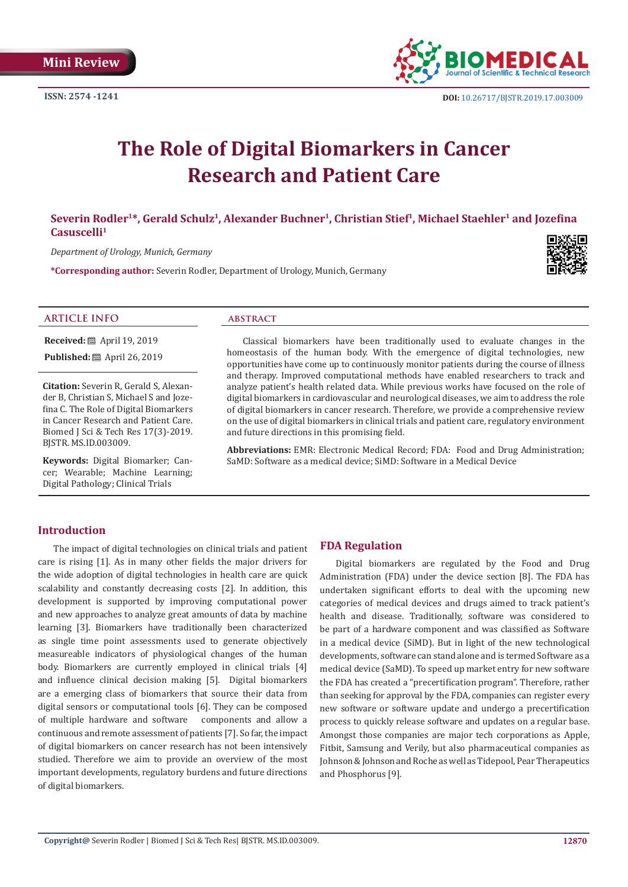**ISSN: 2574 -1241**



# **The Role of Digital Biomarkers in Cancer Research and Patient Care**

# **Severin Rodler1\*, Gerald Schulz1, Alexander Buchner1, Christian Stief1, Michael Staehler1 and Jozefina Casuscelli1**

*Department of Urology, Munich, Germany*

**\*Corresponding author:** Severin Rodler, Department of Urology, Munich, Germany



#### **ARTICLE INFO abstract**

**Received:** ■ April 19, 2019

**Published:** ■ April 26, 2019

**Citation:** Severin R, Gerald S, Alexander B, Christian S, Michael S and Jozefina C. The Role of Digital Biomarkers in Cancer Research and Patient Care. Biomed J Sci & Tech Res 17(3)-2019. BJSTR. MS.ID.003009.

**Keywords:** Digital Biomarker; Cancer; Wearable; Machine Learning; Digital Pathology; Clinical Trials

Classical biomarkers have been traditionally used to evaluate changes in the homeostasis of the human body. With the emergence of digital technologies, new opportunities have come up to continuously monitor patients during the course of illness and therapy. Improved computational methods have enabled researchers to track and analyze patient's health related data. While previous works have focused on the role of digital biomarkers in cardiovascular and neurological diseases, we aim to address the role of digital biomarkers in cancer research. Therefore, we provide a comprehensive review on the use of digital biomarkers in clinical trials and patient care, regulatory environment and future directions in this promising field.

**Abbreviations:** EMR: Electronic Medical Record; FDA: Food and Drug Administration; SaMD: Software as a medical device; SiMD: Software in a Medical Device

### **Introduction**

The impact of digital technologies on clinical trials and patient care is rising [1]. As in many other fields the major drivers for the wide adoption of digital technologies in health care are quick scalability and constantly decreasing costs [2]. In addition, this development is supported by improving computational power and new approaches to analyze great amounts of data by machine learning [3]. Biomarkers have traditionally been characterized as single time point assessments used to generate objectively measureable indicators of physiological changes of the human body. Biomarkers are currently employed in clinical trials [4] and influence clinical decision making [5]. Digital biomarkers are a emerging class of biomarkers that source their data from digital sensors or computational tools [6]. They can be composed of multiple hardware and software components and allow a continuous and remote assessment of patients [7]. So far, the impact of digital biomarkers on cancer research has not been intensively studied. Therefore we aim to provide an overview of the most important developments, regulatory burdens and future directions of digital biomarkers.

#### **FDA Regulation**

Digital biomarkers are regulated by the Food and Drug Administration (FDA) under the device section [8]. The FDA has undertaken significant efforts to deal with the upcoming new categories of medical devices and drugs aimed to track patient's health and disease. Traditionally, software was considered to be part of a hardware component and was classified as Software in a medical device (SiMD). But in light of the new technological developments, software can stand alone and is termed Software as a medical device (SaMD). To speed up market entry for new software the FDA has created a "precertification program". Therefore, rather than seeking for approval by the FDA, companies can register every new software or software update and undergo a precertification process to quickly release software and updates on a regular base. Amongst those companies are major tech corporations as Apple, Fitbit, Samsung and Verily, but also pharmaceutical companies as Johnson & Johnson and Roche as well as Tidepool, Pear Therapeutics and Phosphorus [9].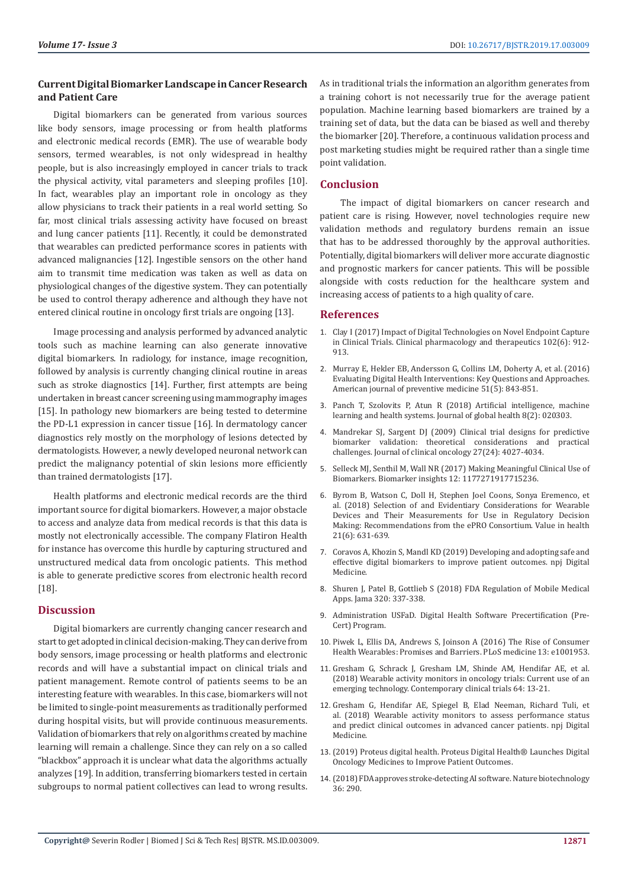# **Current Digital Biomarker Landscape in Cancer Research and Patient Care**

Digital biomarkers can be generated from various sources like body sensors, image processing or from health platforms and electronic medical records (EMR). The use of wearable body sensors, termed wearables, is not only widespread in healthy people, but is also increasingly employed in cancer trials to track the physical activity, vital parameters and sleeping profiles [10]. In fact, wearables play an important role in oncology as they allow physicians to track their patients in a real world setting. So far, most clinical trials assessing activity have focused on breast and lung cancer patients [11]. Recently, it could be demonstrated that wearables can predicted performance scores in patients with advanced malignancies [12]. Ingestible sensors on the other hand aim to transmit time medication was taken as well as data on physiological changes of the digestive system. They can potentially be used to control therapy adherence and although they have not entered clinical routine in oncology first trials are ongoing [13].

Image processing and analysis performed by advanced analytic tools such as machine learning can also generate innovative digital biomarkers. In radiology, for instance, image recognition, followed by analysis is currently changing clinical routine in areas such as stroke diagnostics [14]. Further, first attempts are being undertaken in breast cancer screening using mammography images [15]. In pathology new biomarkers are being tested to determine the PD-L1 expression in cancer tissue [16]. In dermatology cancer diagnostics rely mostly on the morphology of lesions detected by dermatologists. However, a newly developed neuronal network can predict the malignancy potential of skin lesions more efficiently than trained dermatologists [17].

Health platforms and electronic medical records are the third important source for digital biomarkers. However, a major obstacle to access and analyze data from medical records is that this data is mostly not electronically accessible. The company Flatiron Health for instance has overcome this hurdle by capturing structured and unstructured medical data from oncologic patients. This method is able to generate predictive scores from electronic health record [18].

## **Discussion**

Digital biomarkers are currently changing cancer research and start to get adopted in clinical decision-making. They can derive from body sensors, image processing or health platforms and electronic records and will have a substantial impact on clinical trials and patient management. Remote control of patients seems to be an interesting feature with wearables. In this case, biomarkers will not be limited to single-point measurements as traditionally performed during hospital visits, but will provide continuous measurements. Validation of biomarkers that rely on algorithms created by machine learning will remain a challenge. Since they can rely on a so called "blackbox" approach it is unclear what data the algorithms actually analyzes [19]. In addition, transferring biomarkers tested in certain subgroups to normal patient collectives can lead to wrong results.

As in traditional trials the information an algorithm generates from a training cohort is not necessarily true for the average patient population. Machine learning based biomarkers are trained by a training set of data, but the data can be biased as well and thereby the biomarker [20]. Therefore, a continuous validation process and post marketing studies might be required rather than a single time point validation.

### **Conclusion**

 The impact of digital biomarkers on cancer research and patient care is rising. However, novel technologies require new validation methods and regulatory burdens remain an issue that has to be addressed thoroughly by the approval authorities. Potentially, digital biomarkers will deliver more accurate diagnostic and prognostic markers for cancer patients. This will be possible alongside with costs reduction for the healthcare system and increasing access of patients to a high quality of care.

### **References**

- 1. [Clay I \(2017\) Impact of Digital Technologies on Novel Endpoint Capture](https://www.ncbi.nlm.nih.gov/pubmed/29027665) [in Clinical Trials. Clinical pharmacology and therapeutics 102\(6\): 912-](https://www.ncbi.nlm.nih.gov/pubmed/29027665) [913.](https://www.ncbi.nlm.nih.gov/pubmed/29027665)
- 2. [Murray E, Hekler EB, Andersson G, Collins LM, Doherty A, et al. \(2016\)](https://www.ncbi.nlm.nih.gov/pubmed/27745684) [Evaluating Digital Health Interventions: Key Questions and Approaches.](https://www.ncbi.nlm.nih.gov/pubmed/27745684) [American journal of preventive medicine 51\(5\): 843-851.](https://www.ncbi.nlm.nih.gov/pubmed/27745684)
- 3. [Panch T, Szolovits P, Atun R \(2018\) Artificial intelligence, machine](https://www.ncbi.nlm.nih.gov/pmc/articles/PMC6199467/) [learning and health systems. Journal of global health 8\(2\): 020303.](https://www.ncbi.nlm.nih.gov/pmc/articles/PMC6199467/)
- 4. [Mandrekar SJ, Sargent DJ \(2009\) Clinical trial designs for predictive](https://www.ncbi.nlm.nih.gov/pubmed/19597023) [biomarker validation: theoretical considerations and practical](https://www.ncbi.nlm.nih.gov/pubmed/19597023) [challenges. Journal of clinical oncology 27\(24\): 4027-4034.](https://www.ncbi.nlm.nih.gov/pubmed/19597023)
- 5. [Selleck MJ, Senthil M, Wall NR \(2017\) Making Meaningful Clinical Use of](https://www.ncbi.nlm.nih.gov/pubmed/28659713) [Biomarkers. Biomarker insights 12: 1177271917715236.](https://www.ncbi.nlm.nih.gov/pubmed/28659713)
- 6. [Byrom B, Watson C, Doll H, Stephen Joel Coons, Sonya Eremenco, et](https://www.sciencedirect.com/science/article/pii/S1098301517335325) [al. \(2018\) Selection of and Evidentiary Considerations for Wearable](https://www.sciencedirect.com/science/article/pii/S1098301517335325) [Devices and Their Measurements for Use in Regulatory Decision](https://www.sciencedirect.com/science/article/pii/S1098301517335325) [Making: Recommendations from the ePRO Consortium. Value in health](https://www.sciencedirect.com/science/article/pii/S1098301517335325) [21\(6\): 631-639.](https://www.sciencedirect.com/science/article/pii/S1098301517335325)
- 7. [Coravos A, Khozin S, Mandl KD \(2019\) Developing and adopting safe and](https://www.nature.com/articles/s41746-019-0090-4) [effective digital biomarkers to improve patient outcomes. npj Digital](https://www.nature.com/articles/s41746-019-0090-4) [Medicine.](https://www.nature.com/articles/s41746-019-0090-4)
- 8. [Shuren J, Patel B, Gottlieb S \(2018\) FDA Regulation of Mobile Medical](https://jamanetwork.com/journals/jama/article-abstract/2687221) [Apps. Jama 320: 337-338.](https://jamanetwork.com/journals/jama/article-abstract/2687221)
- 9. [Administration USFaD. Digital Health Software Precertification \(Pre-](https://www.fda.gov/MedicalDevices/DigitalHealth/DigitalHealthPreCertProgram/default.htm.)[Cert\) Program.](https://www.fda.gov/MedicalDevices/DigitalHealth/DigitalHealthPreCertProgram/default.htm.)
- 10. [Piwek L, Ellis DA, Andrews S, Joinson A \(2016\) The Rise of Consumer](https://journals.plos.org/plosmedicine/article?id=10.1371/journal.pmed.1001953) [Health Wearables: Promises and Barriers. PLoS medicine 13: e1001953.](https://journals.plos.org/plosmedicine/article?id=10.1371/journal.pmed.1001953)
- 11. [Gresham G, Schrack J, Gresham LM, Shinde AM, Hendifar AE, et al.](https://www.ncbi.nlm.nih.gov/pubmed/29129704) [\(2018\) Wearable activity monitors in oncology trials: Current use of an](https://www.ncbi.nlm.nih.gov/pubmed/29129704) [emerging technology. Contemporary clinical trials 64: 13-21.](https://www.ncbi.nlm.nih.gov/pubmed/29129704)
- 12. [Gresham G, Hendifar AE, Spiegel B, Elad Neeman, Richard Tuli, et](https://www.nature.com/articles/s41746-018-0032-6) [al. \(2018\) Wearable activity monitors to assess performance status](https://www.nature.com/articles/s41746-018-0032-6) [and predict clinical outcomes in advanced cancer patients. npj Digital](https://www.nature.com/articles/s41746-018-0032-6) [Medicine.](https://www.nature.com/articles/s41746-018-0032-6)
- 13. [\(2019\) Proteus digital health. Proteus Digital Health® Launches Digital](https://www.proteus.com/press-releases/proteus-digital-health-launches-digital-oncology-medicines-to-improve-patient-outcomes/) [Oncology Medicines to Improve Patient Outcomes.](https://www.proteus.com/press-releases/proteus-digital-health-launches-digital-oncology-medicines-to-improve-patient-outcomes/)
- 14. [\(2018\) FDA approves stroke-detecting AI software. Nature biotechnology](https://www.nature.com/articles/nbt0418-290) [36: 290.](https://www.nature.com/articles/nbt0418-290)